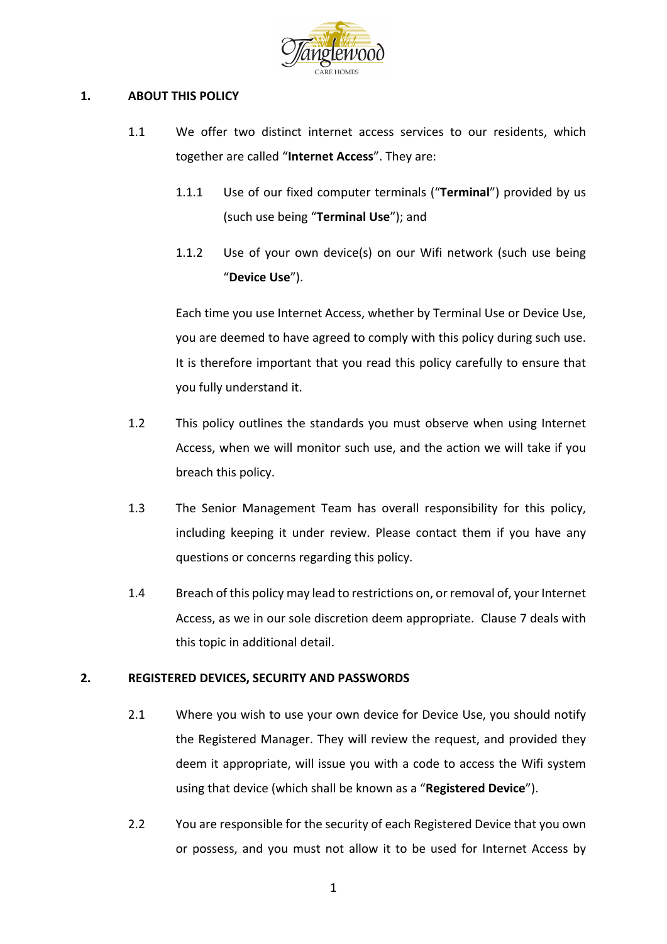

## 1. **ABOUT THIS POLICY**

- 1.1 We offer two distinct internet access services to our residents, which together are called "**Internet Access**". They are:
	- 1.1.1 Use of our fixed computer terminals ("**Terminal**") provided by us (such use being "Terminal Use"); and
	- 1.1.2 Use of your own device(s) on our Wifi network (such use being "**Device Use**").

Each time you use Internet Access, whether by Terminal Use or Device Use, you are deemed to have agreed to comply with this policy during such use. It is therefore important that you read this policy carefully to ensure that you fully understand it.

- 1.2 This policy outlines the standards you must observe when using Internet Access, when we will monitor such use, and the action we will take if you breach this policy.
- 1.3 The Senior Management Team has overall responsibility for this policy, including keeping it under review. Please contact them if you have any questions or concerns regarding this policy.
- 1.4 Breach of this policy may lead to restrictions on, or removal of, your Internet Access, as we in our sole discretion deem appropriate. Clause 7 deals with this topic in additional detail.

### **2. REGISTERED DEVICES, SECURITY AND PASSWORDS**

- 2.1 Where you wish to use your own device for Device Use, you should notify the Registered Manager. They will review the request, and provided they deem it appropriate, will issue you with a code to access the Wifi system using that device (which shall be known as a "Registered Device").
- 2.2 You are responsible for the security of each Registered Device that you own or possess, and you must not allow it to be used for Internet Access by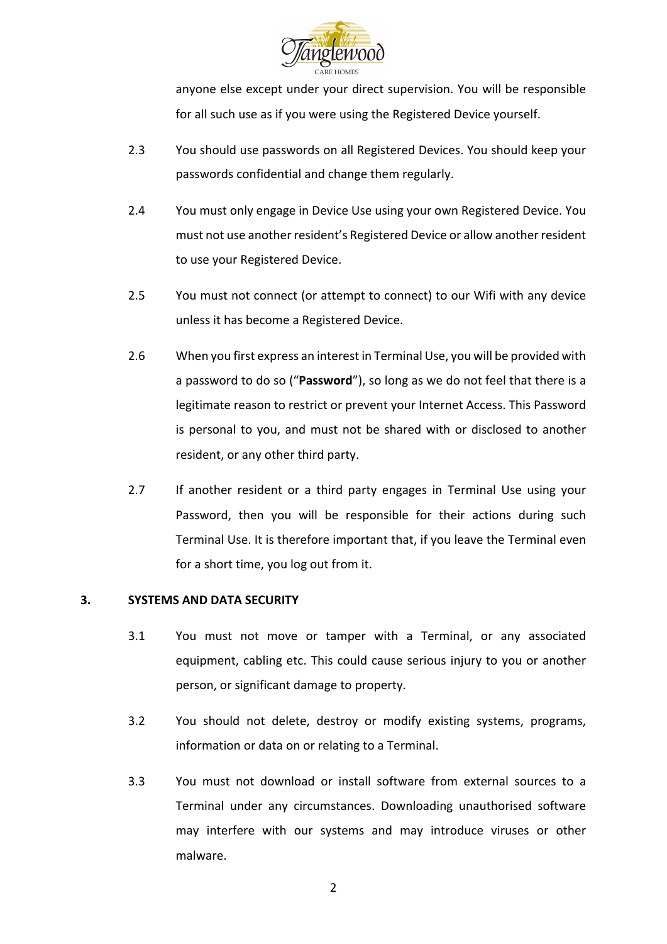

anyone else except under your direct supervision. You will be responsible for all such use as if you were using the Registered Device yourself.

- 2.3 You should use passwords on all Registered Devices. You should keep your passwords confidential and change them regularly.
- 2.4 You must only engage in Device Use using your own Registered Device. You must not use another resident's Registered Device or allow another resident to use your Registered Device.
- 2.5 You must not connect (or attempt to connect) to our Wifi with any device unless it has become a Registered Device.
- 2.6 When you first express an interest in Terminal Use, you will be provided with a password to do so ("Password"), so long as we do not feel that there is a legitimate reason to restrict or prevent your Internet Access. This Password is personal to you, and must not be shared with or disclosed to another resident, or any other third party.
- 2.7 If another resident or a third party engages in Terminal Use using your Password, then you will be responsible for their actions during such Terminal Use. It is therefore important that, if you leave the Terminal even for a short time, you log out from it.

### **3. SYSTEMS AND DATA SECURITY**

- 3.1 You must not move or tamper with a Terminal, or any associated equipment, cabling etc. This could cause serious injury to you or another person, or significant damage to property.
- 3.2 You should not delete, destroy or modify existing systems, programs, information or data on or relating to a Terminal.
- 3.3 You must not download or install software from external sources to a Terminal under any circumstances. Downloading unauthorised software may interfere with our systems and may introduce viruses or other malware.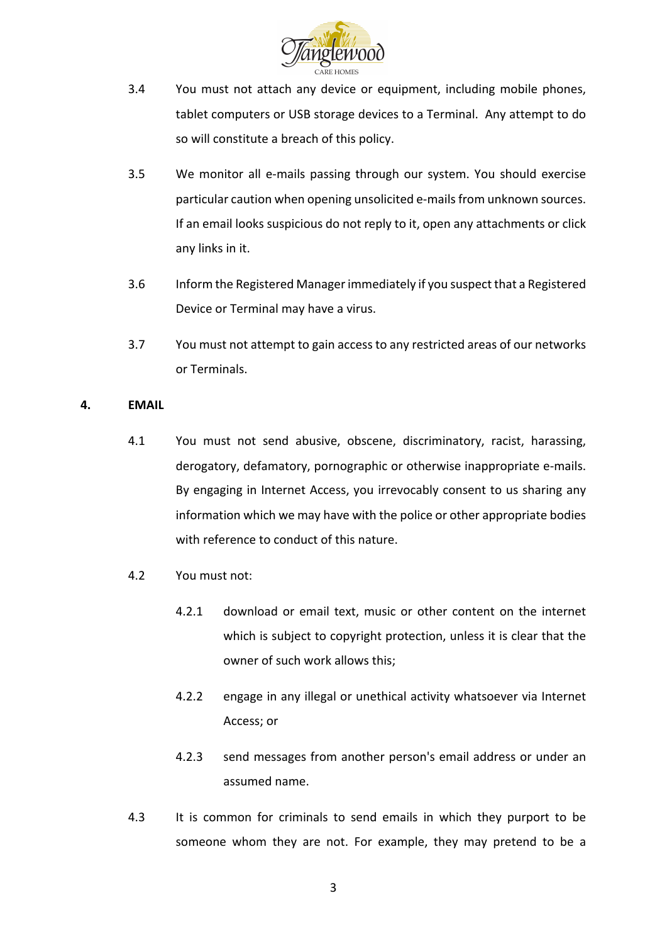

- 3.4 You must not attach any device or equipment, including mobile phones, tablet computers or USB storage devices to a Terminal. Any attempt to do so will constitute a breach of this policy.
- 3.5 We monitor all e-mails passing through our system. You should exercise particular caution when opening unsolicited e-mails from unknown sources. If an email looks suspicious do not reply to it, open any attachments or click any links in it.
- 3.6 Inform the Registered Manager immediately if you suspect that a Registered Device or Terminal may have a virus.
- 3.7 You must not attempt to gain access to any restricted areas of our networks or Terminals.

### **4. EMAIL**

- 4.1 You must not send abusive, obscene, discriminatory, racist, harassing, derogatory, defamatory, pornographic or otherwise inappropriate e-mails. By engaging in Internet Access, you irrevocably consent to us sharing any information which we may have with the police or other appropriate bodies with reference to conduct of this nature.
- 4.2 You must not:
	- 4.2.1 download or email text, music or other content on the internet which is subject to copyright protection, unless it is clear that the owner of such work allows this;
	- 4.2.2 engage in any illegal or unethical activity whatsoever via Internet Access; or
	- 4.2.3 send messages from another person's email address or under an assumed name.
- 4.3 It is common for criminals to send emails in which they purport to be someone whom they are not. For example, they may pretend to be a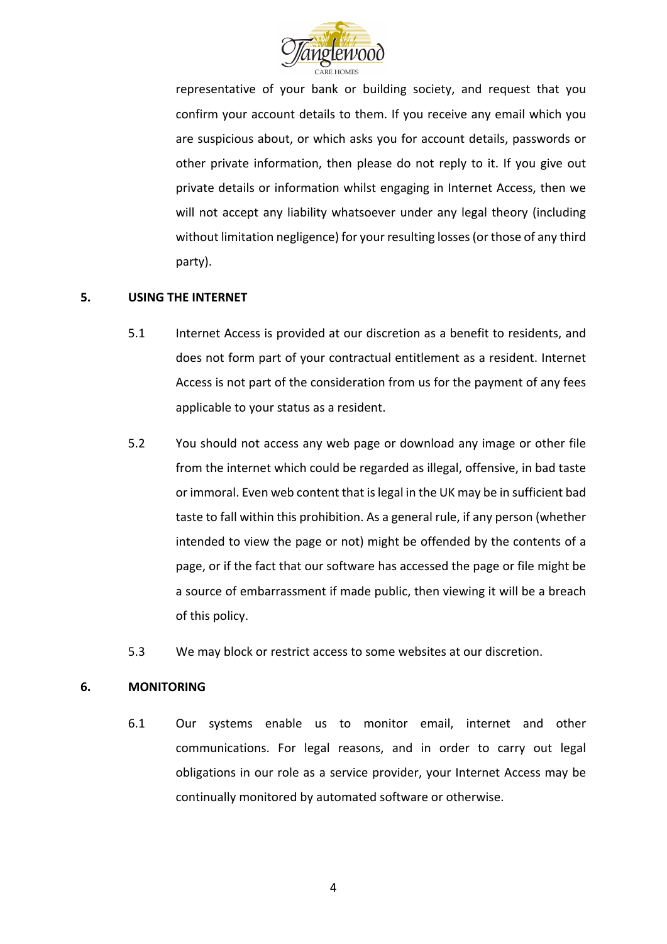

representative of your bank or building society, and request that you confirm your account details to them. If you receive any email which you are suspicious about, or which asks you for account details, passwords or other private information, then please do not reply to it. If you give out private details or information whilst engaging in Internet Access, then we will not accept any liability whatsoever under any legal theory (including without limitation negligence) for your resulting losses (or those of any third party). 

# **5.** USING THE INTERNET

- 5.1 Internet Access is provided at our discretion as a benefit to residents, and does not form part of your contractual entitlement as a resident. Internet Access is not part of the consideration from us for the payment of any fees applicable to your status as a resident.
- 5.2 You should not access any web page or download any image or other file from the internet which could be regarded as illegal, offensive, in bad taste or immoral. Even web content that is legal in the UK may be in sufficient bad taste to fall within this prohibition. As a general rule, if any person (whether intended to view the page or not) might be offended by the contents of a page, or if the fact that our software has accessed the page or file might be a source of embarrassment if made public, then viewing it will be a breach of this policy.
- 5.3 We may block or restrict access to some websites at our discretion.

### **6. MONITORING**

6.1 Our systems enable us to monitor email, internet and other communications. For legal reasons, and in order to carry out legal obligations in our role as a service provider, your Internet Access may be continually monitored by automated software or otherwise.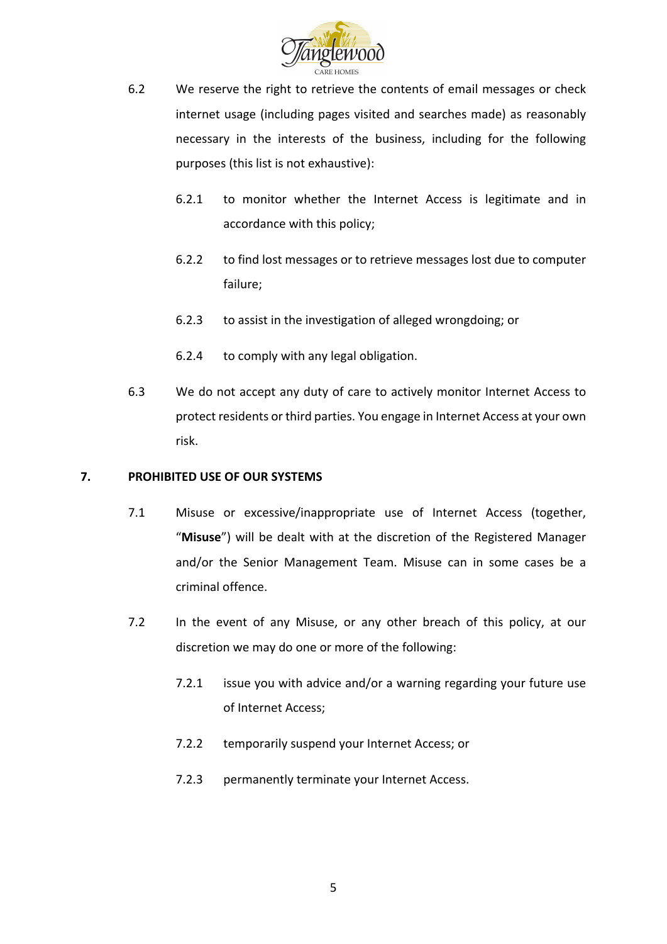

- 6.2 We reserve the right to retrieve the contents of email messages or check internet usage (including pages visited and searches made) as reasonably necessary in the interests of the business, including for the following purposes (this list is not exhaustive):
	- 6.2.1 to monitor whether the Internet Access is legitimate and in accordance with this policy;
	- 6.2.2 to find lost messages or to retrieve messages lost due to computer failure;
	- 6.2.3 to assist in the investigation of alleged wrongdoing; or
	- 6.2.4 to comply with any legal obligation.
- 6.3 We do not accept any duty of care to actively monitor Internet Access to protect residents or third parties. You engage in Internet Access at your own risk.

### **7.** PROHIBITED USE OF OUR SYSTEMS

- 7.1 Misuse or excessive/inappropriate use of Internet Access (together, "Misuse") will be dealt with at the discretion of the Registered Manager and/or the Senior Management Team. Misuse can in some cases be a criminal offence.
- 7.2 In the event of any Misuse, or any other breach of this policy, at our discretion we may do one or more of the following:
	- 7.2.1 issue you with advice and/or a warning regarding your future use of Internet Access:
	- 7.2.2 temporarily suspend your Internet Access; or
	- 7.2.3 permanently terminate your Internet Access.